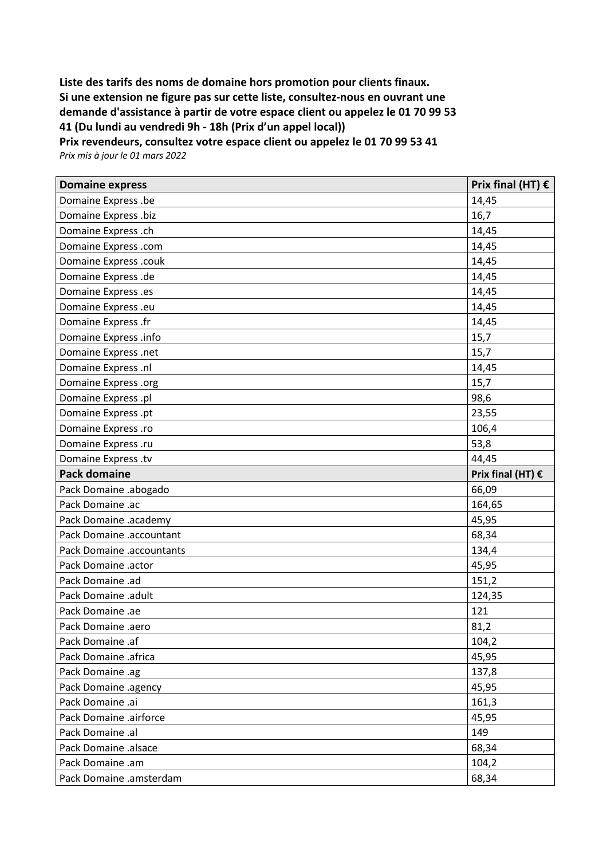**Liste des tarifs des noms de domaine hors promotion pour clients finaux. Si une extension ne figure pas sur cette liste, consultez-nous en ouvrant une demande d'assistance à partir de votre espace client ou appelez le 01 70 99 53 41 (Du lundi au vendredi 9h - 18h (Prix d'un appel local))** 

**Prix revendeurs, consultez votre espace client ou appelez le 01 70 99 53 41** *Prix mis à jour le 01 mars 2022*

| <b>Domaine express</b>       | Prix final (HT) $\epsilon$ |
|------------------------------|----------------------------|
| Domaine Express .be          | 14,45                      |
| Domaine Express .biz         | 16,7                       |
| Domaine Express .ch          | 14,45                      |
| Domaine Express .com         | 14,45                      |
| <b>Domaine Express .couk</b> | 14,45                      |
| Domaine Express .de          | 14,45                      |
| Domaine Express .es          | 14,45                      |
| Domaine Express .eu          | 14,45                      |
| Domaine Express .fr          | 14,45                      |
| Domaine Express .info        | 15,7                       |
| Domaine Express .net         | 15,7                       |
| Domaine Express .nl          | 14,45                      |
| Domaine Express .org         | 15,7                       |
| Domaine Express .pl          | 98,6                       |
| Domaine Express .pt          | 23,55                      |
| Domaine Express .ro          | 106,4                      |
| Domaine Express .ru          | 53,8                       |
| Domaine Express .tv          | 44,45                      |
| <b>Pack domaine</b>          | Prix final (HT) $\epsilon$ |
| Pack Domaine .abogado        | 66,09                      |
| Pack Domaine .ac             | 164,65                     |
| Pack Domaine .academy        | 45,95                      |
| Pack Domaine .accountant     | 68,34                      |
| Pack Domaine .accountants    | 134,4                      |
| Pack Domaine .actor          | 45,95                      |
| Pack Domaine .ad             | 151,2                      |
| Pack Domaine .adult          | 124,35                     |
| Pack Domaine .ae             | 121                        |
| Pack Domaine .aero           | 81,2                       |
| Pack Domaine .af             | 104,2                      |
| Pack Domaine .africa         | 45,95                      |
| Pack Domaine .ag             | 137,8                      |
| Pack Domaine .agency         | 45,95                      |
| Pack Domaine .ai             | 161,3                      |
| Pack Domaine .airforce       | 45,95                      |
| Pack Domaine .al             | 149                        |
| Pack Domaine .alsace         | 68,34                      |
| Pack Domaine .am             | 104,2                      |
| Pack Domaine .amsterdam      | 68,34                      |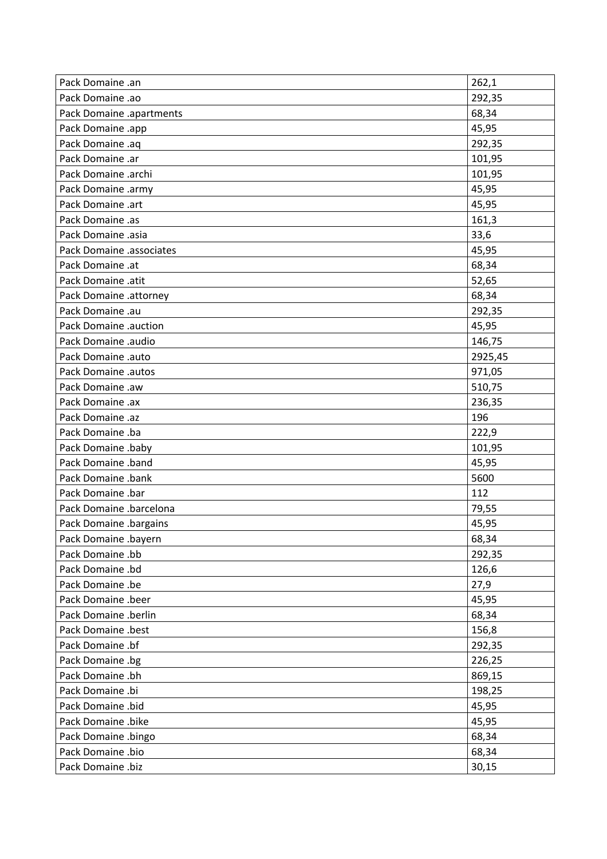| Pack Domaine .an         | 262,1   |
|--------------------------|---------|
| Pack Domaine .ao         | 292,35  |
| Pack Domaine .apartments | 68,34   |
| Pack Domaine .app        | 45,95   |
| Pack Domaine .aq         | 292,35  |
| Pack Domaine .ar         | 101,95  |
| Pack Domaine .archi      | 101,95  |
| Pack Domaine .army       | 45,95   |
| Pack Domaine .art        | 45,95   |
| Pack Domaine .as         | 161,3   |
| Pack Domaine .asia       | 33,6    |
| Pack Domaine .associates | 45,95   |
| Pack Domaine .at         | 68,34   |
| Pack Domaine .atit       | 52,65   |
| Pack Domaine .attorney   | 68,34   |
| Pack Domaine .au         | 292,35  |
| Pack Domaine .auction    | 45,95   |
| Pack Domaine .audio      | 146,75  |
| Pack Domaine .auto       | 2925,45 |
| Pack Domaine .autos      | 971,05  |
| Pack Domaine .aw         | 510,75  |
| Pack Domaine .ax         | 236,35  |
| Pack Domaine .az         | 196     |
| Pack Domaine .ba         | 222,9   |
| Pack Domaine .baby       | 101,95  |
| Pack Domaine .band       | 45,95   |
| Pack Domaine .bank       | 5600    |
| Pack Domaine .bar        | 112     |
| Pack Domaine .barcelona  | 79,55   |
| Pack Domaine .bargains   | 45,95   |
| Pack Domaine .bayern     | 68,34   |
| Pack Domaine .bb         | 292,35  |
| Pack Domaine .bd         | 126,6   |
| Pack Domaine .be         | 27,9    |
| Pack Domaine .beer       | 45,95   |
| Pack Domaine .berlin     | 68,34   |
| Pack Domaine .best       | 156,8   |
| Pack Domaine .bf         | 292,35  |
| Pack Domaine .bg         | 226,25  |
| Pack Domaine .bh         | 869,15  |
| Pack Domaine .bi         | 198,25  |
| Pack Domaine .bid        | 45,95   |
| Pack Domaine .bike       | 45,95   |
| Pack Domaine .bingo      | 68,34   |
| Pack Domaine .bio        | 68,34   |
| Pack Domaine .biz        | 30,15   |
|                          |         |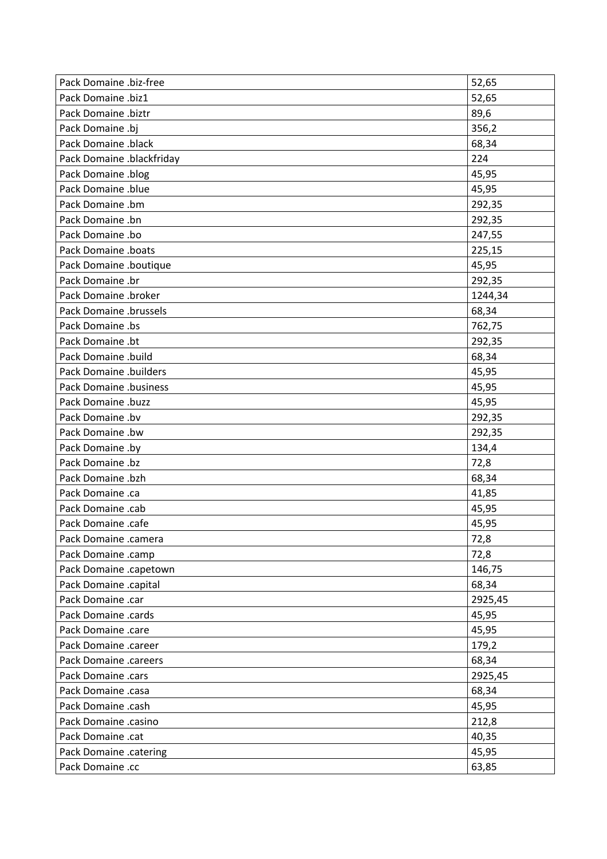| Pack Domaine .biz-free        | 52,65   |
|-------------------------------|---------|
| Pack Domaine .biz1            | 52,65   |
| Pack Domaine .biztr           | 89,6    |
| Pack Domaine .bj              | 356,2   |
| Pack Domaine .black           | 68,34   |
| Pack Domaine .blackfriday     | 224     |
| Pack Domaine .blog            | 45,95   |
| Pack Domaine .blue            | 45,95   |
| Pack Domaine .bm              | 292,35  |
| Pack Domaine .bn              | 292,35  |
| Pack Domaine .bo              | 247,55  |
| Pack Domaine .boats           | 225,15  |
| Pack Domaine .boutique        | 45,95   |
| Pack Domaine .br              | 292,35  |
| Pack Domaine .broker          | 1244,34 |
| Pack Domaine .brussels        | 68,34   |
| Pack Domaine .bs              | 762,75  |
| Pack Domaine .bt              | 292,35  |
| Pack Domaine .build           | 68,34   |
| Pack Domaine .builders        | 45,95   |
| <b>Pack Domaine .business</b> | 45,95   |
| Pack Domaine .buzz            | 45,95   |
| Pack Domaine .bv              | 292,35  |
| Pack Domaine .bw              | 292,35  |
| Pack Domaine .by              | 134,4   |
| Pack Domaine .bz              | 72,8    |
| Pack Domaine .bzh             | 68,34   |
| Pack Domaine .ca              | 41,85   |
| Pack Domaine .cab             | 45,95   |
| Pack Domaine .cafe            | 45,95   |
| Pack Domaine .camera          | 72,8    |
| Pack Domaine .camp            | 72,8    |
| Pack Domaine .capetown        | 146,75  |
| Pack Domaine .capital         | 68,34   |
| Pack Domaine .car             | 2925,45 |
| Pack Domaine .cards           | 45,95   |
| Pack Domaine .care            | 45,95   |
| Pack Domaine .career          | 179,2   |
| Pack Domaine .careers         | 68,34   |
| Pack Domaine .cars            | 2925,45 |
| Pack Domaine .casa            | 68,34   |
| Pack Domaine .cash            | 45,95   |
| Pack Domaine .casino          | 212,8   |
| Pack Domaine .cat             | 40,35   |
| Pack Domaine .catering        | 45,95   |
| Pack Domaine .cc              | 63,85   |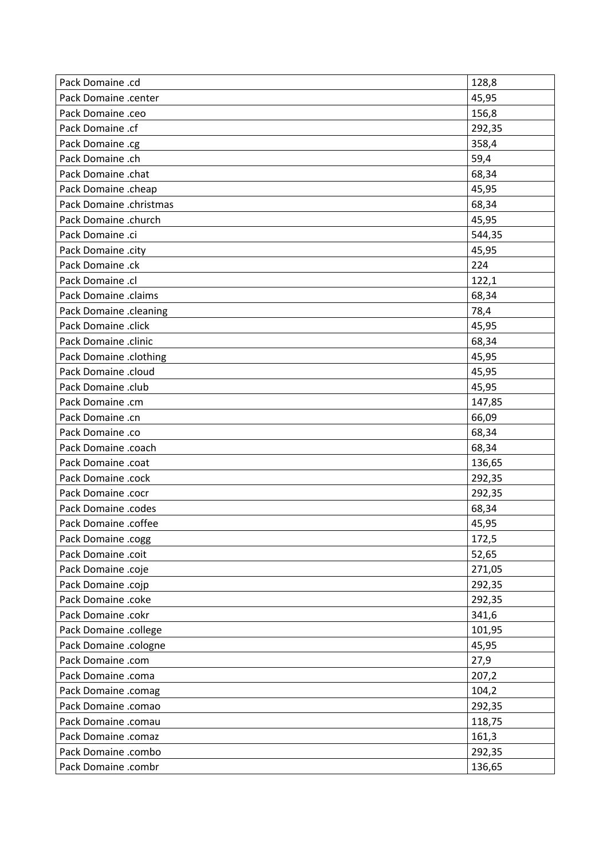| Pack Domaine .cd        | 128,8  |
|-------------------------|--------|
| Pack Domaine .center    | 45,95  |
| Pack Domaine .ceo       | 156,8  |
| Pack Domaine .cf        | 292,35 |
| Pack Domaine .cg        | 358,4  |
| Pack Domaine .ch        | 59,4   |
| Pack Domaine .chat      | 68,34  |
| Pack Domaine .cheap     | 45,95  |
| Pack Domaine .christmas | 68,34  |
| Pack Domaine .church    | 45,95  |
| Pack Domaine .ci        | 544,35 |
| Pack Domaine .city      | 45,95  |
| Pack Domaine .ck        | 224    |
| Pack Domaine .cl        | 122,1  |
| Pack Domaine .claims    | 68,34  |
| Pack Domaine .cleaning  | 78,4   |
| Pack Domaine .click     | 45,95  |
| Pack Domaine .clinic    | 68,34  |
| Pack Domaine .clothing  | 45,95  |
| Pack Domaine .cloud     | 45,95  |
| Pack Domaine .club      | 45,95  |
| Pack Domaine .cm        | 147,85 |
| Pack Domaine .cn        | 66,09  |
| Pack Domaine .co        | 68,34  |
| Pack Domaine .coach     | 68,34  |
| Pack Domaine .coat      | 136,65 |
| Pack Domaine .cock      | 292,35 |
| Pack Domaine .cocr      | 292,35 |
| Pack Domaine .codes     | 68,34  |
| Pack Domaine .coffee    | 45,95  |
| Pack Domaine .cogg      | 172,5  |
| Pack Domaine .coit      | 52,65  |
| Pack Domaine .coje      | 271,05 |
| Pack Domaine .cojp      | 292,35 |
| Pack Domaine .coke      | 292,35 |
| Pack Domaine .cokr      | 341,6  |
| Pack Domaine .college   | 101,95 |
| Pack Domaine .cologne   | 45,95  |
| Pack Domaine .com       | 27,9   |
| Pack Domaine .coma      | 207,2  |
| Pack Domaine .comag     | 104,2  |
| Pack Domaine .comao     | 292,35 |
| Pack Domaine .comau     | 118,75 |
| Pack Domaine .comaz     | 161,3  |
| Pack Domaine .combo     | 292,35 |
| Pack Domaine .combr     | 136,65 |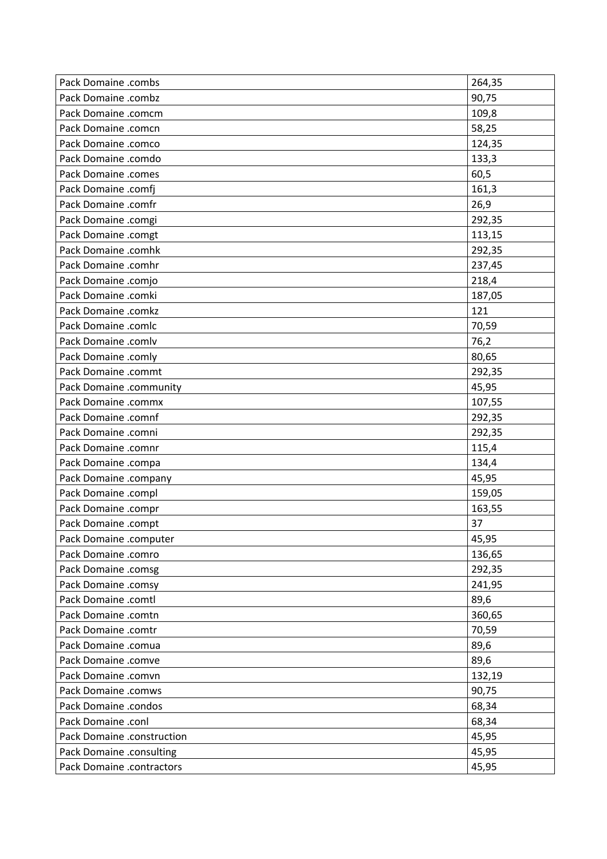| Pack Domaine .combs        | 264,35 |
|----------------------------|--------|
| Pack Domaine .combz        | 90,75  |
| Pack Domaine .comcm        | 109,8  |
| Pack Domaine .comcn        | 58,25  |
| Pack Domaine .comco        | 124,35 |
| Pack Domaine .comdo        | 133,3  |
| Pack Domaine .comes        | 60,5   |
| Pack Domaine .comfj        | 161,3  |
| Pack Domaine .comfr        | 26,9   |
| Pack Domaine .comgi        | 292,35 |
| Pack Domaine .comgt        | 113,15 |
| Pack Domaine .comhk        | 292,35 |
| Pack Domaine .comhr        | 237,45 |
| Pack Domaine .comjo        | 218,4  |
| Pack Domaine .comki        | 187,05 |
| Pack Domaine .comkz        | 121    |
| Pack Domaine .comlc        | 70,59  |
| Pack Domaine .comlv        | 76,2   |
| Pack Domaine .comly        | 80,65  |
| Pack Domaine .commt        | 292,35 |
| Pack Domaine .community    | 45,95  |
| Pack Domaine .commx        | 107,55 |
| Pack Domaine .comnf        | 292,35 |
| Pack Domaine .comni        | 292,35 |
| Pack Domaine .comnr        | 115,4  |
| Pack Domaine .compa        | 134,4  |
| Pack Domaine .company      | 45,95  |
| Pack Domaine .compl        | 159,05 |
| Pack Domaine .compr        | 163,55 |
| Pack Domaine .compt        | 37     |
| Pack Domaine .computer     | 45,95  |
| Pack Domaine .comro        | 136,65 |
| Pack Domaine .comsg        | 292,35 |
| Pack Domaine .comsy        | 241,95 |
| Pack Domaine .comtl        | 89,6   |
| Pack Domaine .comtn        | 360,65 |
| Pack Domaine .comtr        | 70,59  |
| Pack Domaine .comua        | 89,6   |
| Pack Domaine .comve        | 89,6   |
| Pack Domaine .comvn        | 132,19 |
| Pack Domaine .comws        | 90,75  |
| Pack Domaine .condos       | 68,34  |
| Pack Domaine .conl         | 68,34  |
| Pack Domaine .construction | 45,95  |
| Pack Domaine .consulting   | 45,95  |
| Pack Domaine .contractors  | 45,95  |
|                            |        |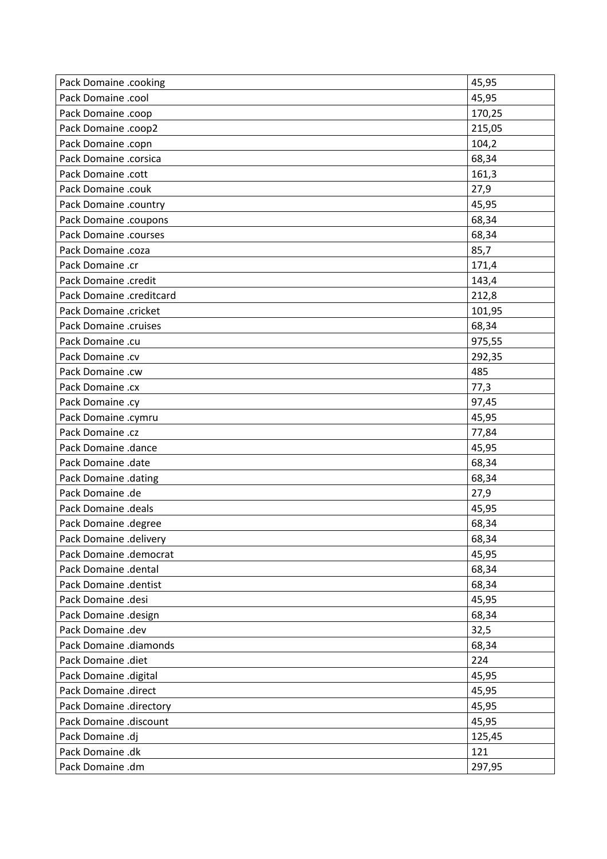| Pack Domaine .cooking          | 45,95  |
|--------------------------------|--------|
| Pack Domaine .cool             | 45,95  |
| Pack Domaine .coop             | 170,25 |
| Pack Domaine .coop2            | 215,05 |
| Pack Domaine .copn             | 104,2  |
| Pack Domaine .corsica          | 68,34  |
| Pack Domaine .cott             | 161,3  |
| Pack Domaine .couk             | 27,9   |
| Pack Domaine .country          | 45,95  |
| Pack Domaine .coupons          | 68,34  |
| Pack Domaine .courses          | 68,34  |
| Pack Domaine .coza             | 85,7   |
| Pack Domaine .cr               | 171,4  |
| Pack Domaine .credit           | 143,4  |
| Pack Domaine .creditcard       | 212,8  |
| Pack Domaine .cricket          | 101,95 |
| Pack Domaine .cruises          | 68,34  |
| Pack Domaine .cu               | 975,55 |
| Pack Domaine .cv               | 292,35 |
| Pack Domaine .cw               | 485    |
| Pack Domaine .cx               | 77,3   |
| Pack Domaine .cy               | 97,45  |
| Pack Domaine .cymru            | 45,95  |
| Pack Domaine .cz               | 77,84  |
| Pack Domaine .dance            | 45,95  |
| Pack Domaine .date             | 68,34  |
| Pack Domaine .dating           | 68,34  |
| Pack Domaine .de               | 27,9   |
| Pack Domaine .deals            | 45,95  |
| Pack Domaine .degree           | 68,34  |
| Pack Domaine .delivery         | 68,34  |
| Pack Domaine .democrat         | 45,95  |
| Pack Domaine .dental           | 68,34  |
| Pack Domaine .dentist          | 68,34  |
| Pack Domaine .desi             | 45,95  |
| Pack Domaine .design           | 68,34  |
| Pack Domaine .dev              | 32,5   |
| Pack Domaine .diamonds         | 68,34  |
| Pack Domaine .diet             | 224    |
| Pack Domaine .digital          | 45,95  |
| Pack Domaine .direct           | 45,95  |
| <b>Pack Domaine .directory</b> | 45,95  |
| Pack Domaine .discount         | 45,95  |
| Pack Domaine .dj               | 125,45 |
| Pack Domaine .dk               | 121    |
| Pack Domaine .dm               | 297,95 |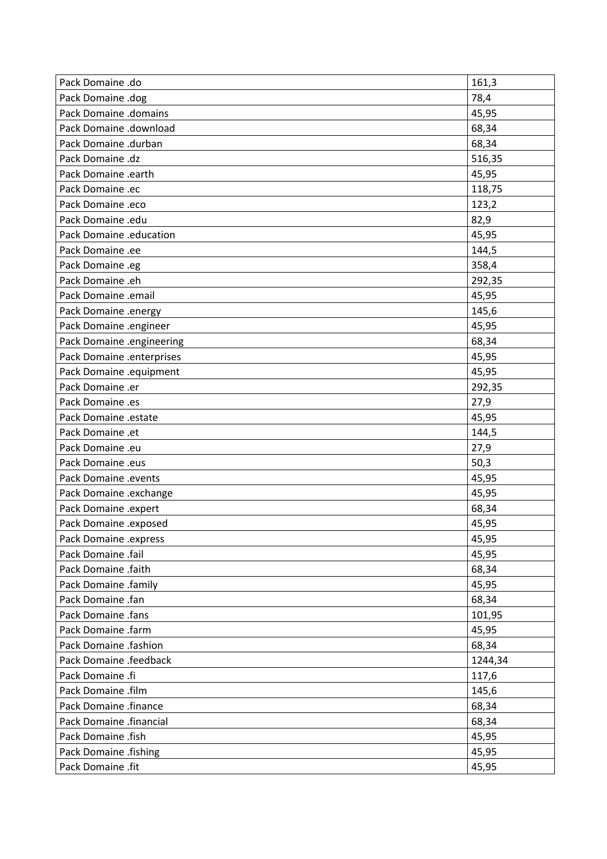| Pack Domaine .dog<br>78,4<br>Pack Domaine .domains<br>45,95<br>Pack Domaine .download<br>68,34<br>Pack Domaine .durban<br>68,34<br>Pack Domaine .dz<br>516,35<br>Pack Domaine .earth<br>45,95<br>Pack Domaine .ec<br>118,75<br>Pack Domaine .eco<br>123,2<br>Pack Domaine .edu<br>82,9<br>Pack Domaine .education<br>45,95<br>Pack Domaine .ee<br>144,5<br>Pack Domaine .eg<br>358,4<br>Pack Domaine .eh<br>292,35<br>Pack Domaine .email<br>45,95<br>Pack Domaine .energy<br>145,6<br>Pack Domaine .engineer<br>45,95<br>Pack Domaine .engineering<br>68,34<br>Pack Domaine .enterprises<br>45,95<br>Pack Domaine .equipment<br>45,95<br>Pack Domaine .er<br>292,35<br>Pack Domaine .es<br>27,9<br>Pack Domaine .estate<br>45,95<br>Pack Domaine .et<br>144,5<br>Pack Domaine .eu<br>27,9<br>Pack Domaine .eus<br>50,3<br>Pack Domaine .events<br>45,95<br>Pack Domaine .exchange<br>45,95<br>68,34<br>Pack Domaine .expert<br>Pack Domaine .exposed<br>45,95<br>Pack Domaine .express<br>45,95<br>Pack Domaine .fail<br>45,95<br>Pack Domaine .faith<br>68,34<br>Pack Domaine .family<br>45,95<br>Pack Domaine .fan<br>68,34<br>Pack Domaine .fans<br>101,95<br>Pack Domaine .farm<br>45,95<br>Pack Domaine .fashion<br>68,34<br>Pack Domaine .feedback<br>1244,34<br>Pack Domaine .fi<br>117,6<br>Pack Domaine .film<br>145,6<br>Pack Domaine .finance<br>68,34<br>Pack Domaine .financial<br>68,34<br>Pack Domaine .fish<br>45,95<br>Pack Domaine .fishing<br>45,95<br>Pack Domaine .fit<br>45,95 | Pack Domaine .do | 161,3 |
|-------------------------------------------------------------------------------------------------------------------------------------------------------------------------------------------------------------------------------------------------------------------------------------------------------------------------------------------------------------------------------------------------------------------------------------------------------------------------------------------------------------------------------------------------------------------------------------------------------------------------------------------------------------------------------------------------------------------------------------------------------------------------------------------------------------------------------------------------------------------------------------------------------------------------------------------------------------------------------------------------------------------------------------------------------------------------------------------------------------------------------------------------------------------------------------------------------------------------------------------------------------------------------------------------------------------------------------------------------------------------------------------------------------------------------------------------------------------------------------------------------|------------------|-------|
|                                                                                                                                                                                                                                                                                                                                                                                                                                                                                                                                                                                                                                                                                                                                                                                                                                                                                                                                                                                                                                                                                                                                                                                                                                                                                                                                                                                                                                                                                                       |                  |       |
|                                                                                                                                                                                                                                                                                                                                                                                                                                                                                                                                                                                                                                                                                                                                                                                                                                                                                                                                                                                                                                                                                                                                                                                                                                                                                                                                                                                                                                                                                                       |                  |       |
|                                                                                                                                                                                                                                                                                                                                                                                                                                                                                                                                                                                                                                                                                                                                                                                                                                                                                                                                                                                                                                                                                                                                                                                                                                                                                                                                                                                                                                                                                                       |                  |       |
|                                                                                                                                                                                                                                                                                                                                                                                                                                                                                                                                                                                                                                                                                                                                                                                                                                                                                                                                                                                                                                                                                                                                                                                                                                                                                                                                                                                                                                                                                                       |                  |       |
|                                                                                                                                                                                                                                                                                                                                                                                                                                                                                                                                                                                                                                                                                                                                                                                                                                                                                                                                                                                                                                                                                                                                                                                                                                                                                                                                                                                                                                                                                                       |                  |       |
|                                                                                                                                                                                                                                                                                                                                                                                                                                                                                                                                                                                                                                                                                                                                                                                                                                                                                                                                                                                                                                                                                                                                                                                                                                                                                                                                                                                                                                                                                                       |                  |       |
|                                                                                                                                                                                                                                                                                                                                                                                                                                                                                                                                                                                                                                                                                                                                                                                                                                                                                                                                                                                                                                                                                                                                                                                                                                                                                                                                                                                                                                                                                                       |                  |       |
|                                                                                                                                                                                                                                                                                                                                                                                                                                                                                                                                                                                                                                                                                                                                                                                                                                                                                                                                                                                                                                                                                                                                                                                                                                                                                                                                                                                                                                                                                                       |                  |       |
|                                                                                                                                                                                                                                                                                                                                                                                                                                                                                                                                                                                                                                                                                                                                                                                                                                                                                                                                                                                                                                                                                                                                                                                                                                                                                                                                                                                                                                                                                                       |                  |       |
|                                                                                                                                                                                                                                                                                                                                                                                                                                                                                                                                                                                                                                                                                                                                                                                                                                                                                                                                                                                                                                                                                                                                                                                                                                                                                                                                                                                                                                                                                                       |                  |       |
|                                                                                                                                                                                                                                                                                                                                                                                                                                                                                                                                                                                                                                                                                                                                                                                                                                                                                                                                                                                                                                                                                                                                                                                                                                                                                                                                                                                                                                                                                                       |                  |       |
|                                                                                                                                                                                                                                                                                                                                                                                                                                                                                                                                                                                                                                                                                                                                                                                                                                                                                                                                                                                                                                                                                                                                                                                                                                                                                                                                                                                                                                                                                                       |                  |       |
|                                                                                                                                                                                                                                                                                                                                                                                                                                                                                                                                                                                                                                                                                                                                                                                                                                                                                                                                                                                                                                                                                                                                                                                                                                                                                                                                                                                                                                                                                                       |                  |       |
|                                                                                                                                                                                                                                                                                                                                                                                                                                                                                                                                                                                                                                                                                                                                                                                                                                                                                                                                                                                                                                                                                                                                                                                                                                                                                                                                                                                                                                                                                                       |                  |       |
|                                                                                                                                                                                                                                                                                                                                                                                                                                                                                                                                                                                                                                                                                                                                                                                                                                                                                                                                                                                                                                                                                                                                                                                                                                                                                                                                                                                                                                                                                                       |                  |       |
|                                                                                                                                                                                                                                                                                                                                                                                                                                                                                                                                                                                                                                                                                                                                                                                                                                                                                                                                                                                                                                                                                                                                                                                                                                                                                                                                                                                                                                                                                                       |                  |       |
|                                                                                                                                                                                                                                                                                                                                                                                                                                                                                                                                                                                                                                                                                                                                                                                                                                                                                                                                                                                                                                                                                                                                                                                                                                                                                                                                                                                                                                                                                                       |                  |       |
|                                                                                                                                                                                                                                                                                                                                                                                                                                                                                                                                                                                                                                                                                                                                                                                                                                                                                                                                                                                                                                                                                                                                                                                                                                                                                                                                                                                                                                                                                                       |                  |       |
|                                                                                                                                                                                                                                                                                                                                                                                                                                                                                                                                                                                                                                                                                                                                                                                                                                                                                                                                                                                                                                                                                                                                                                                                                                                                                                                                                                                                                                                                                                       |                  |       |
|                                                                                                                                                                                                                                                                                                                                                                                                                                                                                                                                                                                                                                                                                                                                                                                                                                                                                                                                                                                                                                                                                                                                                                                                                                                                                                                                                                                                                                                                                                       |                  |       |
|                                                                                                                                                                                                                                                                                                                                                                                                                                                                                                                                                                                                                                                                                                                                                                                                                                                                                                                                                                                                                                                                                                                                                                                                                                                                                                                                                                                                                                                                                                       |                  |       |
|                                                                                                                                                                                                                                                                                                                                                                                                                                                                                                                                                                                                                                                                                                                                                                                                                                                                                                                                                                                                                                                                                                                                                                                                                                                                                                                                                                                                                                                                                                       |                  |       |
|                                                                                                                                                                                                                                                                                                                                                                                                                                                                                                                                                                                                                                                                                                                                                                                                                                                                                                                                                                                                                                                                                                                                                                                                                                                                                                                                                                                                                                                                                                       |                  |       |
|                                                                                                                                                                                                                                                                                                                                                                                                                                                                                                                                                                                                                                                                                                                                                                                                                                                                                                                                                                                                                                                                                                                                                                                                                                                                                                                                                                                                                                                                                                       |                  |       |
|                                                                                                                                                                                                                                                                                                                                                                                                                                                                                                                                                                                                                                                                                                                                                                                                                                                                                                                                                                                                                                                                                                                                                                                                                                                                                                                                                                                                                                                                                                       |                  |       |
|                                                                                                                                                                                                                                                                                                                                                                                                                                                                                                                                                                                                                                                                                                                                                                                                                                                                                                                                                                                                                                                                                                                                                                                                                                                                                                                                                                                                                                                                                                       |                  |       |
|                                                                                                                                                                                                                                                                                                                                                                                                                                                                                                                                                                                                                                                                                                                                                                                                                                                                                                                                                                                                                                                                                                                                                                                                                                                                                                                                                                                                                                                                                                       |                  |       |
|                                                                                                                                                                                                                                                                                                                                                                                                                                                                                                                                                                                                                                                                                                                                                                                                                                                                                                                                                                                                                                                                                                                                                                                                                                                                                                                                                                                                                                                                                                       |                  |       |
|                                                                                                                                                                                                                                                                                                                                                                                                                                                                                                                                                                                                                                                                                                                                                                                                                                                                                                                                                                                                                                                                                                                                                                                                                                                                                                                                                                                                                                                                                                       |                  |       |
|                                                                                                                                                                                                                                                                                                                                                                                                                                                                                                                                                                                                                                                                                                                                                                                                                                                                                                                                                                                                                                                                                                                                                                                                                                                                                                                                                                                                                                                                                                       |                  |       |
|                                                                                                                                                                                                                                                                                                                                                                                                                                                                                                                                                                                                                                                                                                                                                                                                                                                                                                                                                                                                                                                                                                                                                                                                                                                                                                                                                                                                                                                                                                       |                  |       |
|                                                                                                                                                                                                                                                                                                                                                                                                                                                                                                                                                                                                                                                                                                                                                                                                                                                                                                                                                                                                                                                                                                                                                                                                                                                                                                                                                                                                                                                                                                       |                  |       |
|                                                                                                                                                                                                                                                                                                                                                                                                                                                                                                                                                                                                                                                                                                                                                                                                                                                                                                                                                                                                                                                                                                                                                                                                                                                                                                                                                                                                                                                                                                       |                  |       |
|                                                                                                                                                                                                                                                                                                                                                                                                                                                                                                                                                                                                                                                                                                                                                                                                                                                                                                                                                                                                                                                                                                                                                                                                                                                                                                                                                                                                                                                                                                       |                  |       |
|                                                                                                                                                                                                                                                                                                                                                                                                                                                                                                                                                                                                                                                                                                                                                                                                                                                                                                                                                                                                                                                                                                                                                                                                                                                                                                                                                                                                                                                                                                       |                  |       |
|                                                                                                                                                                                                                                                                                                                                                                                                                                                                                                                                                                                                                                                                                                                                                                                                                                                                                                                                                                                                                                                                                                                                                                                                                                                                                                                                                                                                                                                                                                       |                  |       |
|                                                                                                                                                                                                                                                                                                                                                                                                                                                                                                                                                                                                                                                                                                                                                                                                                                                                                                                                                                                                                                                                                                                                                                                                                                                                                                                                                                                                                                                                                                       |                  |       |
|                                                                                                                                                                                                                                                                                                                                                                                                                                                                                                                                                                                                                                                                                                                                                                                                                                                                                                                                                                                                                                                                                                                                                                                                                                                                                                                                                                                                                                                                                                       |                  |       |
|                                                                                                                                                                                                                                                                                                                                                                                                                                                                                                                                                                                                                                                                                                                                                                                                                                                                                                                                                                                                                                                                                                                                                                                                                                                                                                                                                                                                                                                                                                       |                  |       |
|                                                                                                                                                                                                                                                                                                                                                                                                                                                                                                                                                                                                                                                                                                                                                                                                                                                                                                                                                                                                                                                                                                                                                                                                                                                                                                                                                                                                                                                                                                       |                  |       |
|                                                                                                                                                                                                                                                                                                                                                                                                                                                                                                                                                                                                                                                                                                                                                                                                                                                                                                                                                                                                                                                                                                                                                                                                                                                                                                                                                                                                                                                                                                       |                  |       |
|                                                                                                                                                                                                                                                                                                                                                                                                                                                                                                                                                                                                                                                                                                                                                                                                                                                                                                                                                                                                                                                                                                                                                                                                                                                                                                                                                                                                                                                                                                       |                  |       |
|                                                                                                                                                                                                                                                                                                                                                                                                                                                                                                                                                                                                                                                                                                                                                                                                                                                                                                                                                                                                                                                                                                                                                                                                                                                                                                                                                                                                                                                                                                       |                  |       |
|                                                                                                                                                                                                                                                                                                                                                                                                                                                                                                                                                                                                                                                                                                                                                                                                                                                                                                                                                                                                                                                                                                                                                                                                                                                                                                                                                                                                                                                                                                       |                  |       |
|                                                                                                                                                                                                                                                                                                                                                                                                                                                                                                                                                                                                                                                                                                                                                                                                                                                                                                                                                                                                                                                                                                                                                                                                                                                                                                                                                                                                                                                                                                       |                  |       |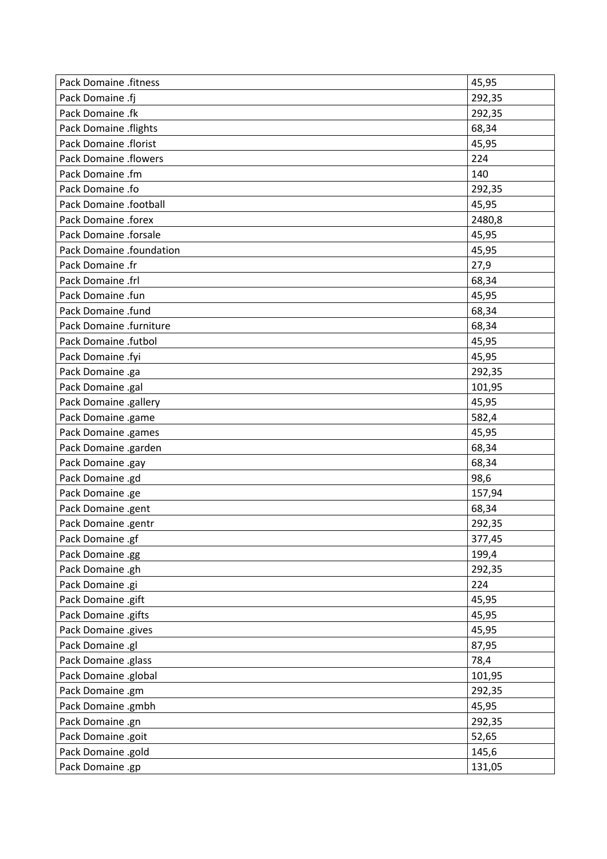| <b>Pack Domaine .fitness</b> | 45,95  |
|------------------------------|--------|
| Pack Domaine .fj             | 292,35 |
| Pack Domaine .fk             | 292,35 |
| Pack Domaine .flights        | 68,34  |
| Pack Domaine .florist        | 45,95  |
| Pack Domaine .flowers        | 224    |
| Pack Domaine .fm             | 140    |
| Pack Domaine .fo             | 292,35 |
| Pack Domaine .football       | 45,95  |
| Pack Domaine .forex          | 2480,8 |
| Pack Domaine .forsale        | 45,95  |
| Pack Domaine .foundation     | 45,95  |
| Pack Domaine .fr             | 27,9   |
| Pack Domaine .frl            | 68,34  |
| Pack Domaine .fun            | 45,95  |
| Pack Domaine .fund           | 68,34  |
| Pack Domaine .furniture      | 68,34  |
| Pack Domaine .futbol         | 45,95  |
| Pack Domaine .fyi            | 45,95  |
| Pack Domaine .ga             | 292,35 |
| Pack Domaine .gal            | 101,95 |
| Pack Domaine .gallery        | 45,95  |
| Pack Domaine .game           | 582,4  |
| Pack Domaine .games          | 45,95  |
| Pack Domaine .garden         | 68,34  |
| Pack Domaine .gay            | 68,34  |
| Pack Domaine .gd             | 98,6   |
| Pack Domaine .ge             | 157,94 |
| Pack Domaine .gent           | 68,34  |
| Pack Domaine .gentr          | 292,35 |
| Pack Domaine .gf             | 377,45 |
| Pack Domaine .gg             | 199,4  |
| Pack Domaine .gh             | 292,35 |
| Pack Domaine .gi             | 224    |
| Pack Domaine .gift           | 45,95  |
| Pack Domaine .gifts          | 45,95  |
| Pack Domaine .gives          | 45,95  |
| Pack Domaine .gl             | 87,95  |
| Pack Domaine .glass          | 78,4   |
| Pack Domaine .global         | 101,95 |
| Pack Domaine .gm             | 292,35 |
| Pack Domaine .gmbh           | 45,95  |
| Pack Domaine .gn             | 292,35 |
| Pack Domaine .goit           | 52,65  |
| Pack Domaine .gold           | 145,6  |
| Pack Domaine .gp             | 131,05 |
|                              |        |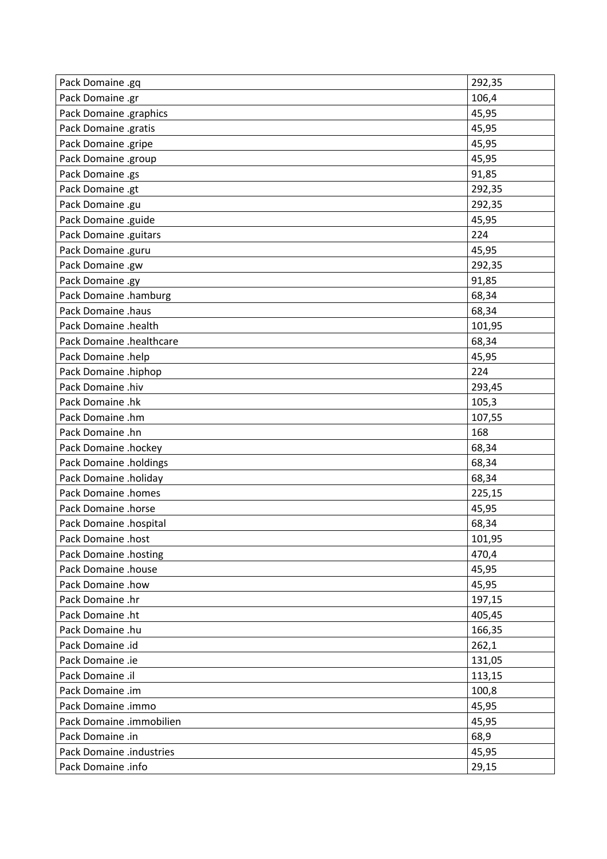| Pack Domaine .gq         | 292,35 |
|--------------------------|--------|
| Pack Domaine .gr         | 106,4  |
| Pack Domaine .graphics   | 45,95  |
| Pack Domaine .gratis     | 45,95  |
| Pack Domaine .gripe      | 45,95  |
| Pack Domaine .group      | 45,95  |
| Pack Domaine .gs         | 91,85  |
| Pack Domaine .gt         | 292,35 |
| Pack Domaine .gu         | 292,35 |
| Pack Domaine .guide      | 45,95  |
| Pack Domaine .guitars    | 224    |
| Pack Domaine .guru       | 45,95  |
| Pack Domaine .gw         | 292,35 |
| Pack Domaine .gy         | 91,85  |
| Pack Domaine .hamburg    | 68,34  |
| Pack Domaine .haus       | 68,34  |
| Pack Domaine .health     | 101,95 |
| Pack Domaine .healthcare | 68,34  |
| Pack Domaine .help       | 45,95  |
| Pack Domaine .hiphop     | 224    |
| Pack Domaine .hiv        | 293,45 |
| Pack Domaine .hk         | 105,3  |
| Pack Domaine .hm         | 107,55 |
| Pack Domaine .hn         | 168    |
| Pack Domaine .hockey     | 68,34  |
| Pack Domaine .holdings   | 68,34  |
| Pack Domaine .holiday    | 68,34  |
| Pack Domaine .homes      | 225,15 |
| Pack Domaine .horse      | 45,95  |
| Pack Domaine .hospital   | 68,34  |
| Pack Domaine .host       | 101,95 |
| Pack Domaine .hosting    | 470,4  |
| Pack Domaine .house      | 45,95  |
| Pack Domaine .how        | 45,95  |
| Pack Domaine .hr         | 197,15 |
| Pack Domaine .ht         | 405,45 |
| Pack Domaine .hu         | 166,35 |
| Pack Domaine .id         | 262,1  |
| Pack Domaine .ie         | 131,05 |
| Pack Domaine .il         | 113,15 |
| Pack Domaine .im         | 100,8  |
| Pack Domaine .immo       | 45,95  |
| Pack Domaine .immobilien | 45,95  |
| Pack Domaine .in         | 68,9   |
| Pack Domaine .industries | 45,95  |
| Pack Domaine .info       | 29,15  |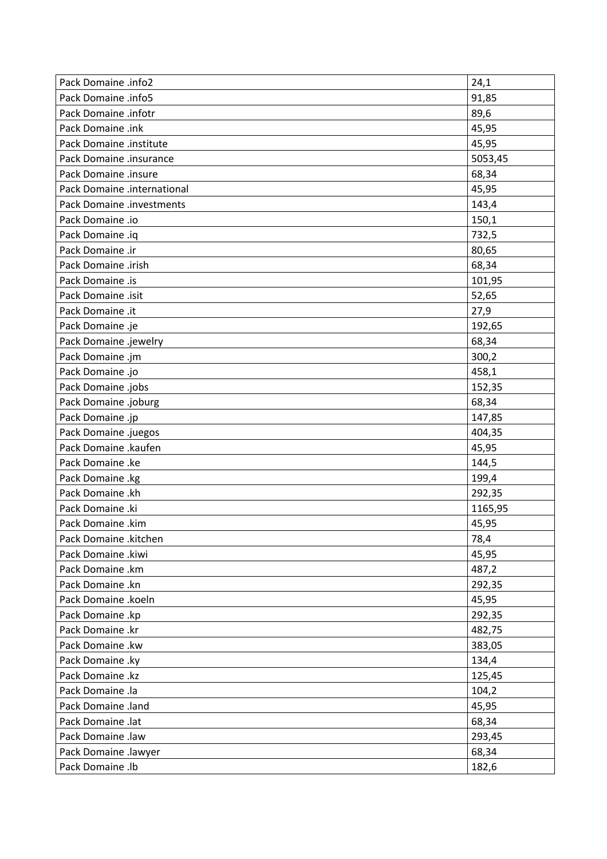| Pack Domaine .info2              | 24,1    |
|----------------------------------|---------|
| Pack Domaine .info5              | 91,85   |
| Pack Domaine .infotr             | 89,6    |
| Pack Domaine .ink                | 45,95   |
| Pack Domaine .institute          | 45,95   |
| Pack Domaine .insurance          | 5053,45 |
| Pack Domaine .insure             | 68,34   |
| Pack Domaine .international      | 45,95   |
| <b>Pack Domaine .investments</b> | 143,4   |
| Pack Domaine .io                 | 150,1   |
| Pack Domaine .iq                 | 732,5   |
| Pack Domaine .ir                 | 80,65   |
| Pack Domaine .irish              | 68,34   |
| Pack Domaine .is                 | 101,95  |
| Pack Domaine .isit               | 52,65   |
| Pack Domaine .it                 | 27,9    |
| Pack Domaine .je                 | 192,65  |
| Pack Domaine .jewelry            | 68,34   |
| Pack Domaine .jm                 | 300,2   |
| Pack Domaine .jo                 | 458,1   |
| Pack Domaine .jobs               | 152,35  |
| Pack Domaine .joburg             | 68,34   |
| Pack Domaine .jp                 | 147,85  |
| Pack Domaine .juegos             | 404,35  |
| Pack Domaine .kaufen             | 45,95   |
| Pack Domaine .ke                 | 144,5   |
| Pack Domaine .kg                 | 199,4   |
| Pack Domaine .kh                 | 292,35  |
| Pack Domaine .ki                 | 1165,95 |
| Pack Domaine .kim                | 45,95   |
| Pack Domaine .kitchen            | 78,4    |
| Pack Domaine .kiwi               | 45,95   |
| Pack Domaine .km                 | 487,2   |
| Pack Domaine .kn                 | 292,35  |
| Pack Domaine .koeln              | 45,95   |
| Pack Domaine .kp                 | 292,35  |
| Pack Domaine .kr                 | 482,75  |
| Pack Domaine .kw                 | 383,05  |
| Pack Domaine .ky                 | 134,4   |
| Pack Domaine .kz                 | 125,45  |
| Pack Domaine .la                 | 104,2   |
| Pack Domaine .land               | 45,95   |
| Pack Domaine .lat                | 68,34   |
| Pack Domaine .law                | 293,45  |
| Pack Domaine .lawyer             | 68,34   |
| Pack Domaine .lb                 | 182,6   |
|                                  |         |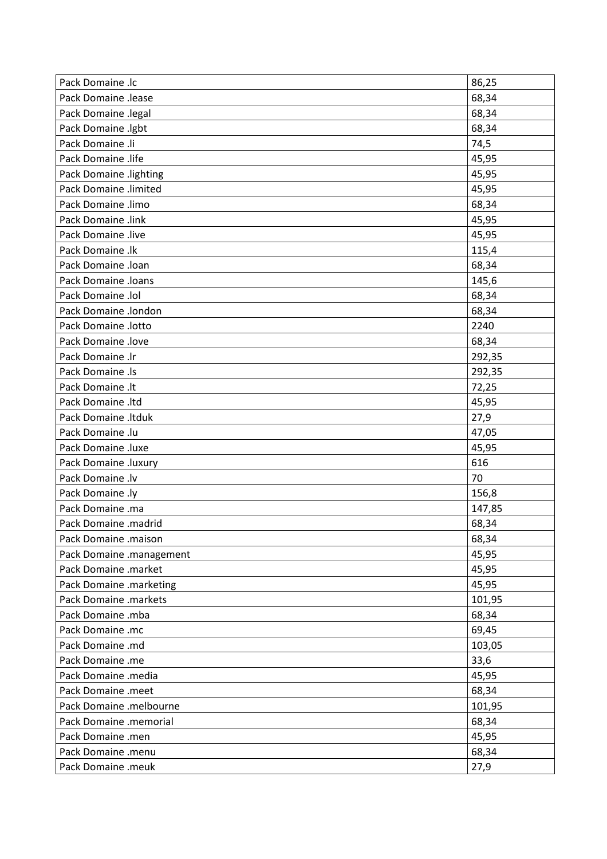| Pack Domaine .lc         | 86,25  |
|--------------------------|--------|
| Pack Domaine .lease      | 68,34  |
| Pack Domaine .legal      | 68,34  |
| Pack Domaine .lgbt       | 68,34  |
| Pack Domaine .li         | 74,5   |
| Pack Domaine .life       | 45,95  |
| Pack Domaine .lighting   | 45,95  |
| Pack Domaine .limited    | 45,95  |
| Pack Domaine .limo       | 68,34  |
| Pack Domaine .link       | 45,95  |
| Pack Domaine .live       | 45,95  |
| Pack Domaine .lk         | 115,4  |
| Pack Domaine .loan       | 68,34  |
| Pack Domaine .loans      | 145,6  |
| Pack Domaine .lol        | 68,34  |
| Pack Domaine .london     | 68,34  |
| Pack Domaine .lotto      | 2240   |
| Pack Domaine .love       | 68,34  |
| Pack Domaine .lr         | 292,35 |
| Pack Domaine .ls         | 292,35 |
| Pack Domaine .lt         | 72,25  |
| Pack Domaine .ltd        | 45,95  |
| Pack Domaine .ltduk      | 27,9   |
| Pack Domaine .lu         | 47,05  |
| Pack Domaine .luxe       | 45,95  |
| Pack Domaine .luxury     | 616    |
| Pack Domaine .lv         | 70     |
| Pack Domaine .ly         | 156,8  |
| Pack Domaine .ma         | 147,85 |
| Pack Domaine .madrid     | 68,34  |
| Pack Domaine .maison     | 68,34  |
| Pack Domaine .management | 45,95  |
| Pack Domaine .market     | 45,95  |
| Pack Domaine .marketing  | 45,95  |
| Pack Domaine .markets    | 101,95 |
| Pack Domaine .mba        | 68,34  |
| Pack Domaine .mc         | 69,45  |
| Pack Domaine .md         | 103,05 |
| Pack Domaine .me         | 33,6   |
| Pack Domaine .media      | 45,95  |
| Pack Domaine .meet       | 68,34  |
| Pack Domaine .melbourne  | 101,95 |
| Pack Domaine .memorial   | 68,34  |
| Pack Domaine .men        | 45,95  |
| Pack Domaine .menu       | 68,34  |
| Pack Domaine .meuk       | 27,9   |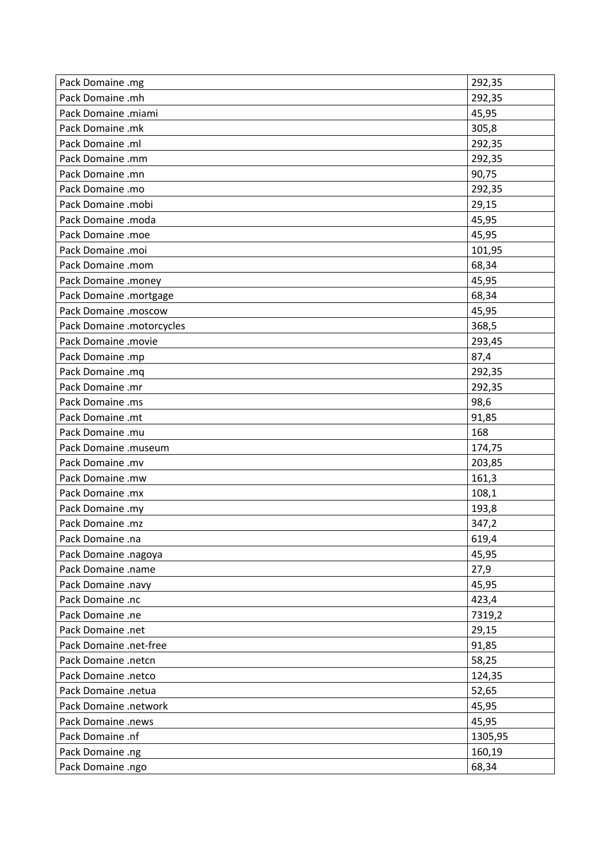| Pack Domaine .mg          | 292,35  |
|---------------------------|---------|
| Pack Domaine .mh          | 292,35  |
| Pack Domaine .miami       | 45,95   |
| Pack Domaine .mk          | 305,8   |
| Pack Domaine .ml          | 292,35  |
| Pack Domaine .mm          | 292,35  |
| Pack Domaine .mn          | 90,75   |
| Pack Domaine .mo          | 292,35  |
| Pack Domaine .mobi        | 29,15   |
| Pack Domaine .moda        | 45,95   |
| Pack Domaine .moe         | 45,95   |
| Pack Domaine .moi         | 101,95  |
| Pack Domaine .mom         | 68,34   |
| Pack Domaine .money       | 45,95   |
| Pack Domaine .mortgage    | 68,34   |
| Pack Domaine .moscow      | 45,95   |
| Pack Domaine .motorcycles | 368,5   |
| Pack Domaine .movie       | 293,45  |
| Pack Domaine .mp          | 87,4    |
| Pack Domaine .mq          | 292,35  |
| Pack Domaine .mr          | 292,35  |
| Pack Domaine .ms          | 98,6    |
| Pack Domaine .mt          | 91,85   |
| Pack Domaine .mu          | 168     |
| Pack Domaine .museum      | 174,75  |
| Pack Domaine .mv          | 203,85  |
| Pack Domaine .mw          | 161,3   |
| Pack Domaine .mx          | 108,1   |
| Pack Domaine .my          | 193,8   |
| Pack Domaine .mz          | 347,2   |
| Pack Domaine .na          | 619,4   |
| Pack Domaine .nagoya      | 45,95   |
| Pack Domaine .name        | 27,9    |
| Pack Domaine .navy        | 45,95   |
| Pack Domaine .nc          | 423,4   |
| Pack Domaine .ne          | 7319,2  |
| Pack Domaine .net         | 29,15   |
| Pack Domaine .net-free    | 91,85   |
| Pack Domaine .netcn       | 58,25   |
| Pack Domaine .netco       | 124,35  |
| Pack Domaine .netua       | 52,65   |
| Pack Domaine .network     | 45,95   |
| Pack Domaine .news        | 45,95   |
| Pack Domaine .nf          | 1305,95 |
| Pack Domaine .ng          | 160,19  |
| Pack Domaine .ngo         | 68,34   |
|                           |         |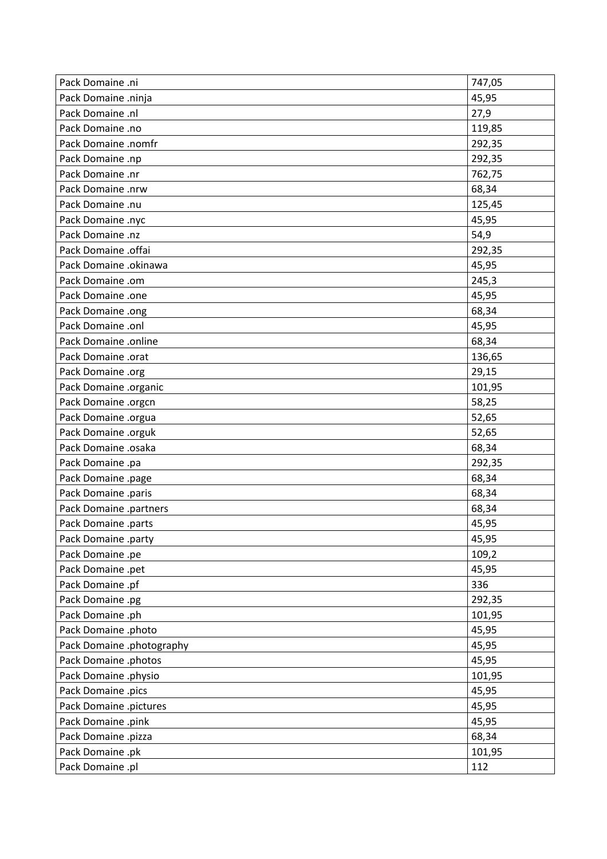| Pack Domaine .ninja<br>45,95<br>Pack Domaine .nl<br>27,9<br>119,85<br>Pack Domaine .no<br>Pack Domaine .nomfr<br>292,35<br>292,35<br>Pack Domaine .np<br>Pack Domaine .nr<br>762,75<br>68,34<br>Pack Domaine .nrw<br>Pack Domaine .nu<br>125,45<br>Pack Domaine .nyc<br>45,95<br>Pack Domaine .nz<br>54,9<br>Pack Domaine .offai<br>292,35<br>Pack Domaine .okinawa<br>45,95<br>Pack Domaine .om<br>245,3<br>Pack Domaine .one<br>45,95<br>Pack Domaine .ong<br>68,34<br>Pack Domaine .onl<br>45,95<br>Pack Domaine .online<br>68,34<br>Pack Domaine .orat<br>136,65<br>Pack Domaine .org<br>29,15<br>Pack Domaine .organic<br>101,95<br>Pack Domaine .orgcn<br>58,25<br>Pack Domaine .orgua<br>52,65<br>Pack Domaine .orguk<br>52,65<br>Pack Domaine .osaka<br>68,34<br>Pack Domaine .pa<br>292,35<br>68,34<br>Pack Domaine .page<br>Pack Domaine .paris<br>68,34<br>68,34<br>Pack Domaine .partners<br>Pack Domaine .parts<br>45,95<br>Pack Domaine .party<br>45,95<br>109,2<br>Pack Domaine .pe<br>45,95<br>Pack Domaine .pet<br>Pack Domaine .pf<br>336<br>Pack Domaine .pg<br>292,35<br>Pack Domaine .ph<br>101,95<br>Pack Domaine .photo<br>45,95<br>Pack Domaine .photography<br>45,95<br>Pack Domaine .photos<br>45,95<br>Pack Domaine .physio<br>101,95<br>Pack Domaine .pics<br>45,95<br>Pack Domaine .pictures<br>45,95<br>Pack Domaine .pink<br>45,95<br>Pack Domaine .pizza<br>68,34<br>Pack Domaine .pk<br>101,95<br>112<br>Pack Domaine .pl | Pack Domaine .ni | 747,05 |
|------------------------------------------------------------------------------------------------------------------------------------------------------------------------------------------------------------------------------------------------------------------------------------------------------------------------------------------------------------------------------------------------------------------------------------------------------------------------------------------------------------------------------------------------------------------------------------------------------------------------------------------------------------------------------------------------------------------------------------------------------------------------------------------------------------------------------------------------------------------------------------------------------------------------------------------------------------------------------------------------------------------------------------------------------------------------------------------------------------------------------------------------------------------------------------------------------------------------------------------------------------------------------------------------------------------------------------------------------------------------------------------------------------------------------------------------------------|------------------|--------|
|                                                                                                                                                                                                                                                                                                                                                                                                                                                                                                                                                                                                                                                                                                                                                                                                                                                                                                                                                                                                                                                                                                                                                                                                                                                                                                                                                                                                                                                            |                  |        |
|                                                                                                                                                                                                                                                                                                                                                                                                                                                                                                                                                                                                                                                                                                                                                                                                                                                                                                                                                                                                                                                                                                                                                                                                                                                                                                                                                                                                                                                            |                  |        |
|                                                                                                                                                                                                                                                                                                                                                                                                                                                                                                                                                                                                                                                                                                                                                                                                                                                                                                                                                                                                                                                                                                                                                                                                                                                                                                                                                                                                                                                            |                  |        |
|                                                                                                                                                                                                                                                                                                                                                                                                                                                                                                                                                                                                                                                                                                                                                                                                                                                                                                                                                                                                                                                                                                                                                                                                                                                                                                                                                                                                                                                            |                  |        |
|                                                                                                                                                                                                                                                                                                                                                                                                                                                                                                                                                                                                                                                                                                                                                                                                                                                                                                                                                                                                                                                                                                                                                                                                                                                                                                                                                                                                                                                            |                  |        |
|                                                                                                                                                                                                                                                                                                                                                                                                                                                                                                                                                                                                                                                                                                                                                                                                                                                                                                                                                                                                                                                                                                                                                                                                                                                                                                                                                                                                                                                            |                  |        |
|                                                                                                                                                                                                                                                                                                                                                                                                                                                                                                                                                                                                                                                                                                                                                                                                                                                                                                                                                                                                                                                                                                                                                                                                                                                                                                                                                                                                                                                            |                  |        |
|                                                                                                                                                                                                                                                                                                                                                                                                                                                                                                                                                                                                                                                                                                                                                                                                                                                                                                                                                                                                                                                                                                                                                                                                                                                                                                                                                                                                                                                            |                  |        |
|                                                                                                                                                                                                                                                                                                                                                                                                                                                                                                                                                                                                                                                                                                                                                                                                                                                                                                                                                                                                                                                                                                                                                                                                                                                                                                                                                                                                                                                            |                  |        |
|                                                                                                                                                                                                                                                                                                                                                                                                                                                                                                                                                                                                                                                                                                                                                                                                                                                                                                                                                                                                                                                                                                                                                                                                                                                                                                                                                                                                                                                            |                  |        |
|                                                                                                                                                                                                                                                                                                                                                                                                                                                                                                                                                                                                                                                                                                                                                                                                                                                                                                                                                                                                                                                                                                                                                                                                                                                                                                                                                                                                                                                            |                  |        |
|                                                                                                                                                                                                                                                                                                                                                                                                                                                                                                                                                                                                                                                                                                                                                                                                                                                                                                                                                                                                                                                                                                                                                                                                                                                                                                                                                                                                                                                            |                  |        |
|                                                                                                                                                                                                                                                                                                                                                                                                                                                                                                                                                                                                                                                                                                                                                                                                                                                                                                                                                                                                                                                                                                                                                                                                                                                                                                                                                                                                                                                            |                  |        |
|                                                                                                                                                                                                                                                                                                                                                                                                                                                                                                                                                                                                                                                                                                                                                                                                                                                                                                                                                                                                                                                                                                                                                                                                                                                                                                                                                                                                                                                            |                  |        |
|                                                                                                                                                                                                                                                                                                                                                                                                                                                                                                                                                                                                                                                                                                                                                                                                                                                                                                                                                                                                                                                                                                                                                                                                                                                                                                                                                                                                                                                            |                  |        |
|                                                                                                                                                                                                                                                                                                                                                                                                                                                                                                                                                                                                                                                                                                                                                                                                                                                                                                                                                                                                                                                                                                                                                                                                                                                                                                                                                                                                                                                            |                  |        |
|                                                                                                                                                                                                                                                                                                                                                                                                                                                                                                                                                                                                                                                                                                                                                                                                                                                                                                                                                                                                                                                                                                                                                                                                                                                                                                                                                                                                                                                            |                  |        |
|                                                                                                                                                                                                                                                                                                                                                                                                                                                                                                                                                                                                                                                                                                                                                                                                                                                                                                                                                                                                                                                                                                                                                                                                                                                                                                                                                                                                                                                            |                  |        |
|                                                                                                                                                                                                                                                                                                                                                                                                                                                                                                                                                                                                                                                                                                                                                                                                                                                                                                                                                                                                                                                                                                                                                                                                                                                                                                                                                                                                                                                            |                  |        |
|                                                                                                                                                                                                                                                                                                                                                                                                                                                                                                                                                                                                                                                                                                                                                                                                                                                                                                                                                                                                                                                                                                                                                                                                                                                                                                                                                                                                                                                            |                  |        |
|                                                                                                                                                                                                                                                                                                                                                                                                                                                                                                                                                                                                                                                                                                                                                                                                                                                                                                                                                                                                                                                                                                                                                                                                                                                                                                                                                                                                                                                            |                  |        |
|                                                                                                                                                                                                                                                                                                                                                                                                                                                                                                                                                                                                                                                                                                                                                                                                                                                                                                                                                                                                                                                                                                                                                                                                                                                                                                                                                                                                                                                            |                  |        |
|                                                                                                                                                                                                                                                                                                                                                                                                                                                                                                                                                                                                                                                                                                                                                                                                                                                                                                                                                                                                                                                                                                                                                                                                                                                                                                                                                                                                                                                            |                  |        |
|                                                                                                                                                                                                                                                                                                                                                                                                                                                                                                                                                                                                                                                                                                                                                                                                                                                                                                                                                                                                                                                                                                                                                                                                                                                                                                                                                                                                                                                            |                  |        |
|                                                                                                                                                                                                                                                                                                                                                                                                                                                                                                                                                                                                                                                                                                                                                                                                                                                                                                                                                                                                                                                                                                                                                                                                                                                                                                                                                                                                                                                            |                  |        |
|                                                                                                                                                                                                                                                                                                                                                                                                                                                                                                                                                                                                                                                                                                                                                                                                                                                                                                                                                                                                                                                                                                                                                                                                                                                                                                                                                                                                                                                            |                  |        |
|                                                                                                                                                                                                                                                                                                                                                                                                                                                                                                                                                                                                                                                                                                                                                                                                                                                                                                                                                                                                                                                                                                                                                                                                                                                                                                                                                                                                                                                            |                  |        |
|                                                                                                                                                                                                                                                                                                                                                                                                                                                                                                                                                                                                                                                                                                                                                                                                                                                                                                                                                                                                                                                                                                                                                                                                                                                                                                                                                                                                                                                            |                  |        |
|                                                                                                                                                                                                                                                                                                                                                                                                                                                                                                                                                                                                                                                                                                                                                                                                                                                                                                                                                                                                                                                                                                                                                                                                                                                                                                                                                                                                                                                            |                  |        |
|                                                                                                                                                                                                                                                                                                                                                                                                                                                                                                                                                                                                                                                                                                                                                                                                                                                                                                                                                                                                                                                                                                                                                                                                                                                                                                                                                                                                                                                            |                  |        |
|                                                                                                                                                                                                                                                                                                                                                                                                                                                                                                                                                                                                                                                                                                                                                                                                                                                                                                                                                                                                                                                                                                                                                                                                                                                                                                                                                                                                                                                            |                  |        |
|                                                                                                                                                                                                                                                                                                                                                                                                                                                                                                                                                                                                                                                                                                                                                                                                                                                                                                                                                                                                                                                                                                                                                                                                                                                                                                                                                                                                                                                            |                  |        |
|                                                                                                                                                                                                                                                                                                                                                                                                                                                                                                                                                                                                                                                                                                                                                                                                                                                                                                                                                                                                                                                                                                                                                                                                                                                                                                                                                                                                                                                            |                  |        |
|                                                                                                                                                                                                                                                                                                                                                                                                                                                                                                                                                                                                                                                                                                                                                                                                                                                                                                                                                                                                                                                                                                                                                                                                                                                                                                                                                                                                                                                            |                  |        |
|                                                                                                                                                                                                                                                                                                                                                                                                                                                                                                                                                                                                                                                                                                                                                                                                                                                                                                                                                                                                                                                                                                                                                                                                                                                                                                                                                                                                                                                            |                  |        |
|                                                                                                                                                                                                                                                                                                                                                                                                                                                                                                                                                                                                                                                                                                                                                                                                                                                                                                                                                                                                                                                                                                                                                                                                                                                                                                                                                                                                                                                            |                  |        |
|                                                                                                                                                                                                                                                                                                                                                                                                                                                                                                                                                                                                                                                                                                                                                                                                                                                                                                                                                                                                                                                                                                                                                                                                                                                                                                                                                                                                                                                            |                  |        |
|                                                                                                                                                                                                                                                                                                                                                                                                                                                                                                                                                                                                                                                                                                                                                                                                                                                                                                                                                                                                                                                                                                                                                                                                                                                                                                                                                                                                                                                            |                  |        |
|                                                                                                                                                                                                                                                                                                                                                                                                                                                                                                                                                                                                                                                                                                                                                                                                                                                                                                                                                                                                                                                                                                                                                                                                                                                                                                                                                                                                                                                            |                  |        |
|                                                                                                                                                                                                                                                                                                                                                                                                                                                                                                                                                                                                                                                                                                                                                                                                                                                                                                                                                                                                                                                                                                                                                                                                                                                                                                                                                                                                                                                            |                  |        |
|                                                                                                                                                                                                                                                                                                                                                                                                                                                                                                                                                                                                                                                                                                                                                                                                                                                                                                                                                                                                                                                                                                                                                                                                                                                                                                                                                                                                                                                            |                  |        |
|                                                                                                                                                                                                                                                                                                                                                                                                                                                                                                                                                                                                                                                                                                                                                                                                                                                                                                                                                                                                                                                                                                                                                                                                                                                                                                                                                                                                                                                            |                  |        |
|                                                                                                                                                                                                                                                                                                                                                                                                                                                                                                                                                                                                                                                                                                                                                                                                                                                                                                                                                                                                                                                                                                                                                                                                                                                                                                                                                                                                                                                            |                  |        |
|                                                                                                                                                                                                                                                                                                                                                                                                                                                                                                                                                                                                                                                                                                                                                                                                                                                                                                                                                                                                                                                                                                                                                                                                                                                                                                                                                                                                                                                            |                  |        |
|                                                                                                                                                                                                                                                                                                                                                                                                                                                                                                                                                                                                                                                                                                                                                                                                                                                                                                                                                                                                                                                                                                                                                                                                                                                                                                                                                                                                                                                            |                  |        |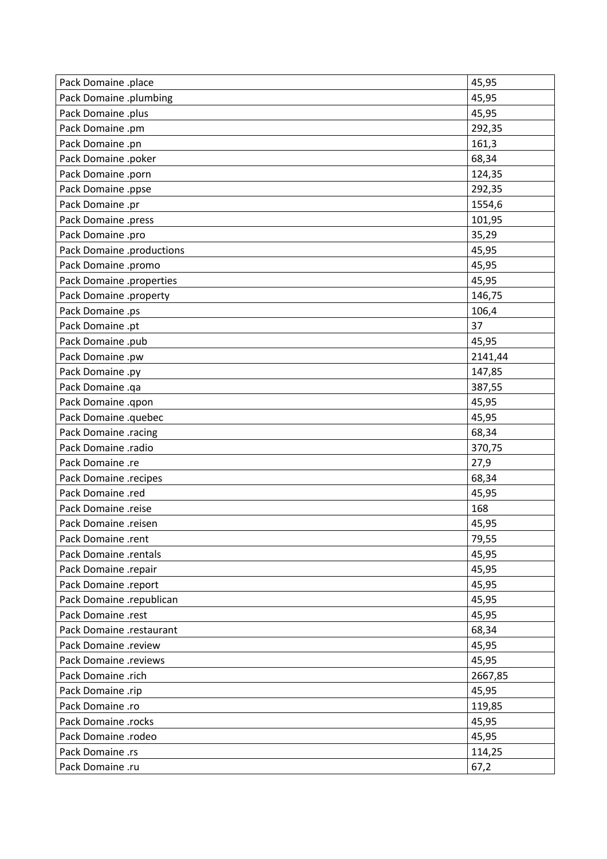| Pack Domaine .place       | 45,95   |
|---------------------------|---------|
| Pack Domaine .plumbing    | 45,95   |
| Pack Domaine .plus        | 45,95   |
| Pack Domaine .pm          | 292,35  |
| Pack Domaine .pn          | 161,3   |
| Pack Domaine .poker       | 68,34   |
| Pack Domaine .porn        | 124,35  |
| Pack Domaine .ppse        | 292,35  |
| Pack Domaine .pr          | 1554,6  |
| Pack Domaine .press       | 101,95  |
| Pack Domaine .pro         | 35,29   |
| Pack Domaine .productions | 45,95   |
| Pack Domaine .promo       | 45,95   |
| Pack Domaine .properties  | 45,95   |
| Pack Domaine .property    | 146,75  |
| Pack Domaine .ps          | 106,4   |
| Pack Domaine .pt          | 37      |
| Pack Domaine .pub         | 45,95   |
| Pack Domaine .pw          | 2141,44 |
| Pack Domaine .py          | 147,85  |
| Pack Domaine .qa          | 387,55  |
| Pack Domaine .qpon        | 45,95   |
| Pack Domaine .quebec      | 45,95   |
| Pack Domaine .racing      | 68,34   |
| Pack Domaine .radio       | 370,75  |
| Pack Domaine .re          | 27,9    |
| Pack Domaine .recipes     | 68,34   |
| Pack Domaine .red         | 45,95   |
| Pack Domaine .reise       | 168     |
| Pack Domaine .reisen      | 45,95   |
| Pack Domaine .rent        | 79,55   |
| Pack Domaine .rentals     | 45,95   |
| Pack Domaine .repair      | 45,95   |
| Pack Domaine .report      | 45,95   |
| Pack Domaine .republican  | 45,95   |
| Pack Domaine .rest        | 45,95   |
| Pack Domaine .restaurant  | 68,34   |
| Pack Domaine .review      | 45,95   |
| Pack Domaine .reviews     | 45,95   |
| Pack Domaine .rich        | 2667,85 |
| Pack Domaine .rip         | 45,95   |
| Pack Domaine .ro          | 119,85  |
| Pack Domaine .rocks       | 45,95   |
| Pack Domaine .rodeo       | 45,95   |
| Pack Domaine .rs          | 114,25  |
| Pack Domaine .ru          | 67,2    |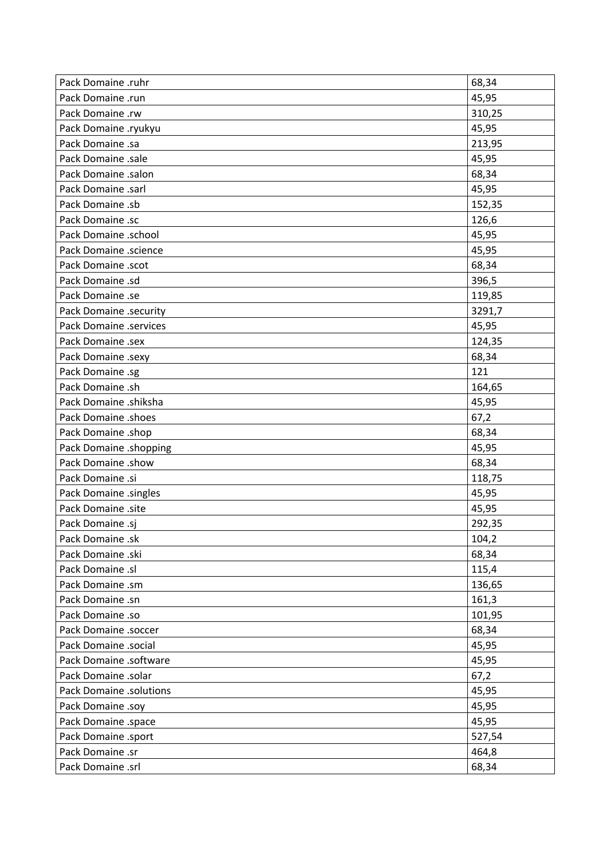| Pack Domaine .ruhr             | 68,34  |
|--------------------------------|--------|
| Pack Domaine .run              | 45,95  |
| Pack Domaine .rw               | 310,25 |
| Pack Domaine .ryukyu           | 45,95  |
| Pack Domaine .sa               | 213,95 |
| Pack Domaine .sale             | 45,95  |
| Pack Domaine .salon            | 68,34  |
| Pack Domaine .sarl             | 45,95  |
| Pack Domaine .sb               | 152,35 |
| Pack Domaine .sc               | 126,6  |
| Pack Domaine .school           | 45,95  |
| Pack Domaine .science          | 45,95  |
| Pack Domaine .scot             | 68,34  |
| Pack Domaine .sd               | 396,5  |
| Pack Domaine .se               | 119,85 |
| Pack Domaine .security         | 3291,7 |
| <b>Pack Domaine .services</b>  | 45,95  |
| <b>Pack Domaine .sex</b>       | 124,35 |
| Pack Domaine .sexy             | 68,34  |
| Pack Domaine .sg               | 121    |
| Pack Domaine .sh               | 164,65 |
| Pack Domaine .shiksha          | 45,95  |
| Pack Domaine .shoes            | 67,2   |
| Pack Domaine .shop             | 68,34  |
| Pack Domaine .shopping         | 45,95  |
| Pack Domaine .show             | 68,34  |
| Pack Domaine .si               | 118,75 |
| Pack Domaine .singles          | 45,95  |
| Pack Domaine .site             | 45,95  |
| Pack Domaine .sj               | 292,35 |
| Pack Domaine .sk               | 104,2  |
| Pack Domaine .ski              | 68,34  |
| Pack Domaine .sl               | 115,4  |
| Pack Domaine .sm               | 136,65 |
| Pack Domaine .sn               | 161,3  |
| Pack Domaine .so               | 101,95 |
| Pack Domaine .soccer           | 68,34  |
| Pack Domaine .social           | 45,95  |
| Pack Domaine .software         | 45,95  |
| Pack Domaine .solar            | 67,2   |
| <b>Pack Domaine .solutions</b> | 45,95  |
| Pack Domaine .soy              | 45,95  |
| Pack Domaine .space            | 45,95  |
| Pack Domaine .sport            | 527,54 |
| Pack Domaine .sr               | 464,8  |
| Pack Domaine .srl              | 68,34  |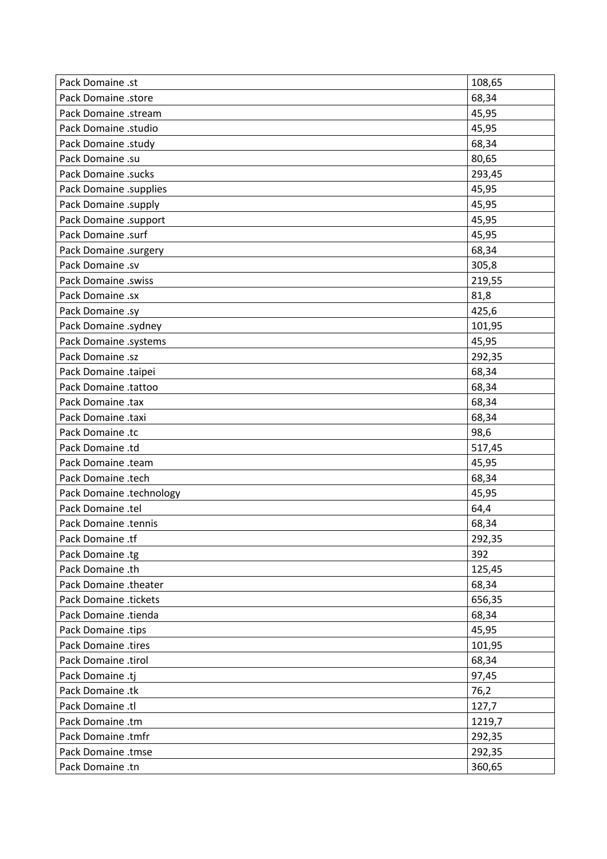| 68,34<br>Pack Domaine .store<br>Pack Domaine .stream<br>45,95<br>Pack Domaine .studio<br>45,95<br>Pack Domaine .study<br>68,34<br>Pack Domaine .su<br>80,65<br><b>Pack Domaine .sucks</b><br>293,45<br>45,95<br>Pack Domaine .supplies<br>Pack Domaine .supply<br>45,95<br>Pack Domaine .support<br>45,95<br>Pack Domaine .surf<br>45,95<br><b>Pack Domaine .surgery</b><br>68,34<br>Pack Domaine .sv<br>305,8<br><b>Pack Domaine .swiss</b><br>219,55<br>Pack Domaine .sx<br>81,8<br>Pack Domaine .sy<br>425,6<br>Pack Domaine .sydney<br>101,95<br>Pack Domaine .systems<br>45,95<br>Pack Domaine .sz<br>292,35<br>Pack Domaine .taipei<br>68,34<br>Pack Domaine .tattoo<br>68,34<br>Pack Domaine .tax<br>68,34<br>68,34<br>Pack Domaine .taxi<br>Pack Domaine .tc<br>98,6<br>Pack Domaine .td<br>517,45<br>Pack Domaine .team<br>45,95<br>Pack Domaine .tech<br>68,34<br>Pack Domaine .technology<br>45,95<br>Pack Domaine .tel<br>64,4<br>Pack Domaine .tennis<br>68,34<br>Pack Domaine .tf<br>292,35<br>392<br>Pack Domaine .tg<br>Pack Domaine .th<br>125,45<br>Pack Domaine .theater<br>68,34<br><b>Pack Domaine .tickets</b><br>656,35<br>Pack Domaine .tienda<br>68,34<br>Pack Domaine .tips<br>45,95<br>Pack Domaine .tires<br>101,95 | Pack Domaine .st | 108,65 |
|-------------------------------------------------------------------------------------------------------------------------------------------------------------------------------------------------------------------------------------------------------------------------------------------------------------------------------------------------------------------------------------------------------------------------------------------------------------------------------------------------------------------------------------------------------------------------------------------------------------------------------------------------------------------------------------------------------------------------------------------------------------------------------------------------------------------------------------------------------------------------------------------------------------------------------------------------------------------------------------------------------------------------------------------------------------------------------------------------------------------------------------------------------------------------------------------------------------------------------------------------|------------------|--------|
|                                                                                                                                                                                                                                                                                                                                                                                                                                                                                                                                                                                                                                                                                                                                                                                                                                                                                                                                                                                                                                                                                                                                                                                                                                                 |                  |        |
|                                                                                                                                                                                                                                                                                                                                                                                                                                                                                                                                                                                                                                                                                                                                                                                                                                                                                                                                                                                                                                                                                                                                                                                                                                                 |                  |        |
|                                                                                                                                                                                                                                                                                                                                                                                                                                                                                                                                                                                                                                                                                                                                                                                                                                                                                                                                                                                                                                                                                                                                                                                                                                                 |                  |        |
|                                                                                                                                                                                                                                                                                                                                                                                                                                                                                                                                                                                                                                                                                                                                                                                                                                                                                                                                                                                                                                                                                                                                                                                                                                                 |                  |        |
|                                                                                                                                                                                                                                                                                                                                                                                                                                                                                                                                                                                                                                                                                                                                                                                                                                                                                                                                                                                                                                                                                                                                                                                                                                                 |                  |        |
|                                                                                                                                                                                                                                                                                                                                                                                                                                                                                                                                                                                                                                                                                                                                                                                                                                                                                                                                                                                                                                                                                                                                                                                                                                                 |                  |        |
|                                                                                                                                                                                                                                                                                                                                                                                                                                                                                                                                                                                                                                                                                                                                                                                                                                                                                                                                                                                                                                                                                                                                                                                                                                                 |                  |        |
|                                                                                                                                                                                                                                                                                                                                                                                                                                                                                                                                                                                                                                                                                                                                                                                                                                                                                                                                                                                                                                                                                                                                                                                                                                                 |                  |        |
|                                                                                                                                                                                                                                                                                                                                                                                                                                                                                                                                                                                                                                                                                                                                                                                                                                                                                                                                                                                                                                                                                                                                                                                                                                                 |                  |        |
|                                                                                                                                                                                                                                                                                                                                                                                                                                                                                                                                                                                                                                                                                                                                                                                                                                                                                                                                                                                                                                                                                                                                                                                                                                                 |                  |        |
|                                                                                                                                                                                                                                                                                                                                                                                                                                                                                                                                                                                                                                                                                                                                                                                                                                                                                                                                                                                                                                                                                                                                                                                                                                                 |                  |        |
|                                                                                                                                                                                                                                                                                                                                                                                                                                                                                                                                                                                                                                                                                                                                                                                                                                                                                                                                                                                                                                                                                                                                                                                                                                                 |                  |        |
|                                                                                                                                                                                                                                                                                                                                                                                                                                                                                                                                                                                                                                                                                                                                                                                                                                                                                                                                                                                                                                                                                                                                                                                                                                                 |                  |        |
|                                                                                                                                                                                                                                                                                                                                                                                                                                                                                                                                                                                                                                                                                                                                                                                                                                                                                                                                                                                                                                                                                                                                                                                                                                                 |                  |        |
|                                                                                                                                                                                                                                                                                                                                                                                                                                                                                                                                                                                                                                                                                                                                                                                                                                                                                                                                                                                                                                                                                                                                                                                                                                                 |                  |        |
|                                                                                                                                                                                                                                                                                                                                                                                                                                                                                                                                                                                                                                                                                                                                                                                                                                                                                                                                                                                                                                                                                                                                                                                                                                                 |                  |        |
|                                                                                                                                                                                                                                                                                                                                                                                                                                                                                                                                                                                                                                                                                                                                                                                                                                                                                                                                                                                                                                                                                                                                                                                                                                                 |                  |        |
|                                                                                                                                                                                                                                                                                                                                                                                                                                                                                                                                                                                                                                                                                                                                                                                                                                                                                                                                                                                                                                                                                                                                                                                                                                                 |                  |        |
|                                                                                                                                                                                                                                                                                                                                                                                                                                                                                                                                                                                                                                                                                                                                                                                                                                                                                                                                                                                                                                                                                                                                                                                                                                                 |                  |        |
|                                                                                                                                                                                                                                                                                                                                                                                                                                                                                                                                                                                                                                                                                                                                                                                                                                                                                                                                                                                                                                                                                                                                                                                                                                                 |                  |        |
|                                                                                                                                                                                                                                                                                                                                                                                                                                                                                                                                                                                                                                                                                                                                                                                                                                                                                                                                                                                                                                                                                                                                                                                                                                                 |                  |        |
|                                                                                                                                                                                                                                                                                                                                                                                                                                                                                                                                                                                                                                                                                                                                                                                                                                                                                                                                                                                                                                                                                                                                                                                                                                                 |                  |        |
|                                                                                                                                                                                                                                                                                                                                                                                                                                                                                                                                                                                                                                                                                                                                                                                                                                                                                                                                                                                                                                                                                                                                                                                                                                                 |                  |        |
|                                                                                                                                                                                                                                                                                                                                                                                                                                                                                                                                                                                                                                                                                                                                                                                                                                                                                                                                                                                                                                                                                                                                                                                                                                                 |                  |        |
|                                                                                                                                                                                                                                                                                                                                                                                                                                                                                                                                                                                                                                                                                                                                                                                                                                                                                                                                                                                                                                                                                                                                                                                                                                                 |                  |        |
|                                                                                                                                                                                                                                                                                                                                                                                                                                                                                                                                                                                                                                                                                                                                                                                                                                                                                                                                                                                                                                                                                                                                                                                                                                                 |                  |        |
|                                                                                                                                                                                                                                                                                                                                                                                                                                                                                                                                                                                                                                                                                                                                                                                                                                                                                                                                                                                                                                                                                                                                                                                                                                                 |                  |        |
|                                                                                                                                                                                                                                                                                                                                                                                                                                                                                                                                                                                                                                                                                                                                                                                                                                                                                                                                                                                                                                                                                                                                                                                                                                                 |                  |        |
|                                                                                                                                                                                                                                                                                                                                                                                                                                                                                                                                                                                                                                                                                                                                                                                                                                                                                                                                                                                                                                                                                                                                                                                                                                                 |                  |        |
|                                                                                                                                                                                                                                                                                                                                                                                                                                                                                                                                                                                                                                                                                                                                                                                                                                                                                                                                                                                                                                                                                                                                                                                                                                                 |                  |        |
|                                                                                                                                                                                                                                                                                                                                                                                                                                                                                                                                                                                                                                                                                                                                                                                                                                                                                                                                                                                                                                                                                                                                                                                                                                                 |                  |        |
|                                                                                                                                                                                                                                                                                                                                                                                                                                                                                                                                                                                                                                                                                                                                                                                                                                                                                                                                                                                                                                                                                                                                                                                                                                                 |                  |        |
|                                                                                                                                                                                                                                                                                                                                                                                                                                                                                                                                                                                                                                                                                                                                                                                                                                                                                                                                                                                                                                                                                                                                                                                                                                                 |                  |        |
|                                                                                                                                                                                                                                                                                                                                                                                                                                                                                                                                                                                                                                                                                                                                                                                                                                                                                                                                                                                                                                                                                                                                                                                                                                                 |                  |        |
|                                                                                                                                                                                                                                                                                                                                                                                                                                                                                                                                                                                                                                                                                                                                                                                                                                                                                                                                                                                                                                                                                                                                                                                                                                                 |                  |        |
|                                                                                                                                                                                                                                                                                                                                                                                                                                                                                                                                                                                                                                                                                                                                                                                                                                                                                                                                                                                                                                                                                                                                                                                                                                                 |                  |        |
|                                                                                                                                                                                                                                                                                                                                                                                                                                                                                                                                                                                                                                                                                                                                                                                                                                                                                                                                                                                                                                                                                                                                                                                                                                                 |                  |        |
| Pack Domaine .tirol<br>68,34                                                                                                                                                                                                                                                                                                                                                                                                                                                                                                                                                                                                                                                                                                                                                                                                                                                                                                                                                                                                                                                                                                                                                                                                                    |                  |        |
| Pack Domaine .tj<br>97,45                                                                                                                                                                                                                                                                                                                                                                                                                                                                                                                                                                                                                                                                                                                                                                                                                                                                                                                                                                                                                                                                                                                                                                                                                       |                  |        |
| Pack Domaine .tk<br>76,2                                                                                                                                                                                                                                                                                                                                                                                                                                                                                                                                                                                                                                                                                                                                                                                                                                                                                                                                                                                                                                                                                                                                                                                                                        |                  |        |
| Pack Domaine .tl<br>127,7                                                                                                                                                                                                                                                                                                                                                                                                                                                                                                                                                                                                                                                                                                                                                                                                                                                                                                                                                                                                                                                                                                                                                                                                                       |                  |        |
| Pack Domaine .tm<br>1219,7                                                                                                                                                                                                                                                                                                                                                                                                                                                                                                                                                                                                                                                                                                                                                                                                                                                                                                                                                                                                                                                                                                                                                                                                                      |                  |        |
| Pack Domaine .tmfr<br>292,35                                                                                                                                                                                                                                                                                                                                                                                                                                                                                                                                                                                                                                                                                                                                                                                                                                                                                                                                                                                                                                                                                                                                                                                                                    |                  |        |
| Pack Domaine .tmse<br>292,35                                                                                                                                                                                                                                                                                                                                                                                                                                                                                                                                                                                                                                                                                                                                                                                                                                                                                                                                                                                                                                                                                                                                                                                                                    |                  |        |
| Pack Domaine .tn<br>360,65                                                                                                                                                                                                                                                                                                                                                                                                                                                                                                                                                                                                                                                                                                                                                                                                                                                                                                                                                                                                                                                                                                                                                                                                                      |                  |        |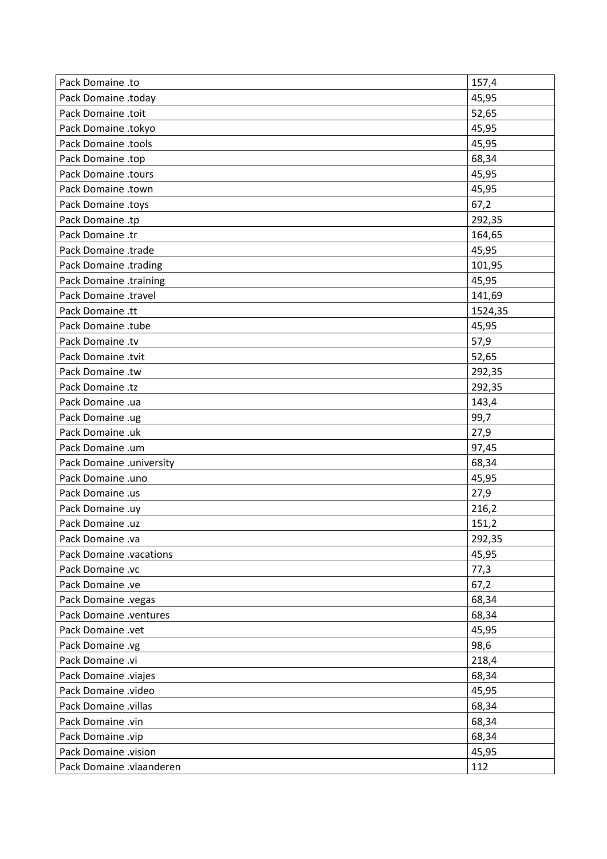| Pack Domaine .to         | 157,4   |
|--------------------------|---------|
| Pack Domaine .today      | 45,95   |
| Pack Domaine .toit       | 52,65   |
| Pack Domaine .tokyo      | 45,95   |
| Pack Domaine .tools      | 45,95   |
| Pack Domaine .top        | 68,34   |
| Pack Domaine .tours      | 45,95   |
| Pack Domaine .town       | 45,95   |
| Pack Domaine .toys       | 67,2    |
| Pack Domaine .tp         | 292,35  |
| Pack Domaine .tr         | 164,65  |
| Pack Domaine .trade      | 45,95   |
| Pack Domaine .trading    | 101,95  |
| Pack Domaine .training   | 45,95   |
| Pack Domaine .travel     | 141,69  |
| Pack Domaine .tt         | 1524,35 |
| Pack Domaine .tube       | 45,95   |
| Pack Domaine .tv         | 57,9    |
| Pack Domaine .tvit       | 52,65   |
| Pack Domaine .tw         | 292,35  |
| Pack Domaine .tz         | 292,35  |
| Pack Domaine .ua         | 143,4   |
| Pack Domaine .ug         | 99,7    |
| Pack Domaine .uk         | 27,9    |
| Pack Domaine .um         | 97,45   |
| Pack Domaine .university | 68,34   |
| Pack Domaine .uno        | 45,95   |
| Pack Domaine .us         | 27,9    |
| Pack Domaine .uy         | 216,2   |
| Pack Domaine .uz         | 151,2   |
| Pack Domaine .va         | 292,35  |
| Pack Domaine .vacations  | 45,95   |
| Pack Domaine .vc         | 77,3    |
| Pack Domaine .ve         | 67,2    |
| Pack Domaine .vegas      | 68,34   |
| Pack Domaine .ventures   | 68,34   |
| Pack Domaine .vet        | 45,95   |
| Pack Domaine .vg         | 98,6    |
| Pack Domaine .vi         | 218,4   |
| Pack Domaine .viajes     | 68,34   |
| Pack Domaine .video      | 45,95   |
| Pack Domaine .villas     | 68,34   |
| Pack Domaine .vin        | 68,34   |
| Pack Domaine .vip        | 68,34   |
| Pack Domaine .vision     | 45,95   |
| Pack Domaine .vlaanderen | 112     |